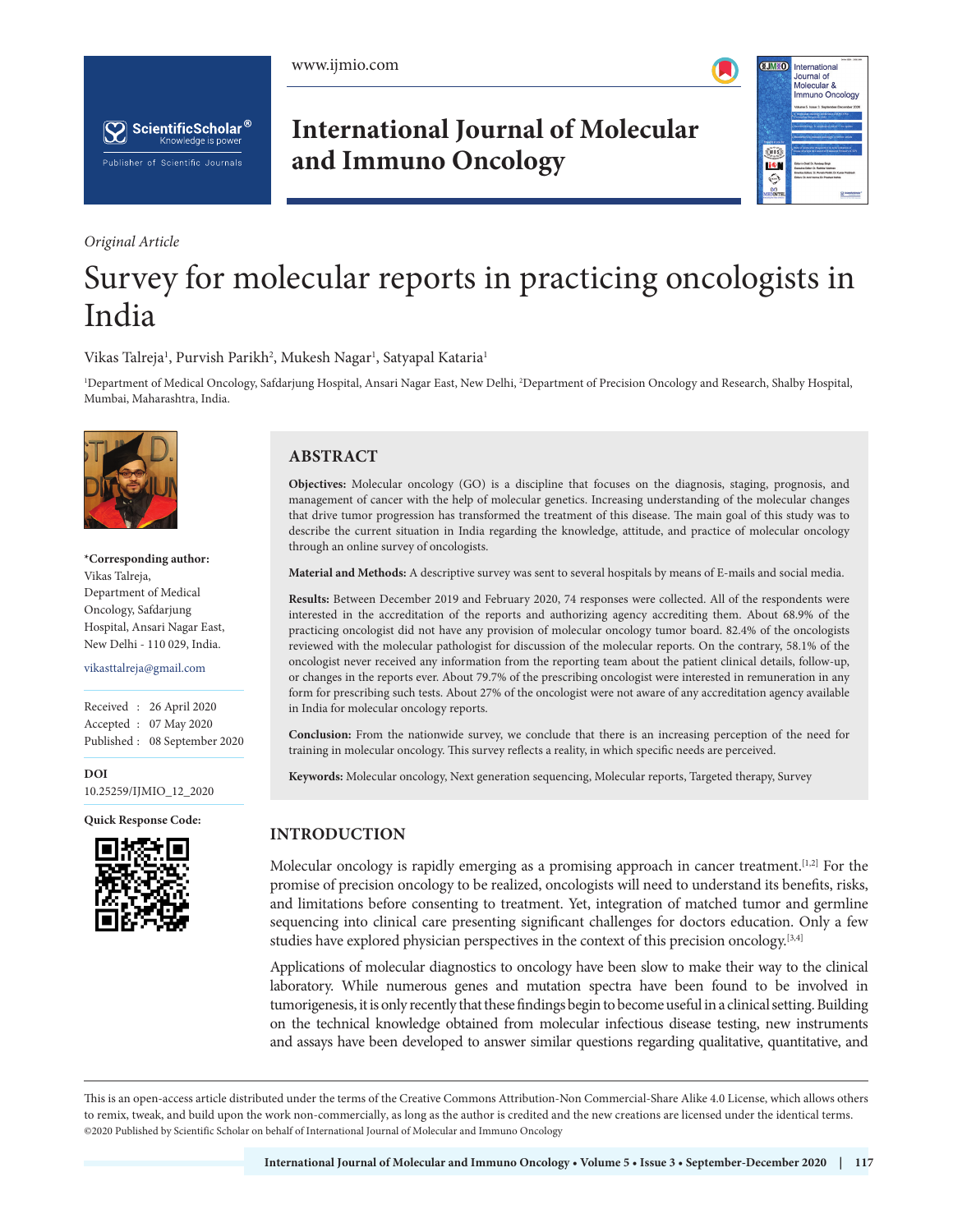





*Original Article*

# **International Journal of Molecular and Immuno Oncology**



# Survey for molecular reports in practicing oncologists in India

Vikas Talreja<sup>1</sup>, Purvish Parikh<sup>2</sup>, Mukesh Nagar<sup>1</sup>, Satyapal Kataria<sup>1</sup>

<sup>1</sup>Department of Medical Oncology, Safdarjung Hospital, Ansari Nagar East, New Delhi, <sup>2</sup>Department of Precision Oncology and Research, Shalby Hospital, Mumbai, Maharashtra, India.



**\*Corresponding author:** Vikas Talreja, Department of Medical Oncology, Safdarjung Hospital, Ansari Nagar East, New Delhi - 110 029, India.

vikasttalreja@gmail.com

Received : 26 April 2020 Accepted : 07 May 2020 Published : 08 September 2020

**DOI** [10.25259/IJMIO\\_12\\_2020](https://dx.doi.org/10.25259/IJMIO_12_2020)

**Quick Response Code:**



# **ABSTRACT**

**Objectives:** Molecular oncology (GO) is a discipline that focuses on the diagnosis, staging, prognosis, and management of cancer with the help of molecular genetics. Increasing understanding of the molecular changes that drive tumor progression has transformed the treatment of this disease. The main goal of this study was to describe the current situation in India regarding the knowledge, attitude, and practice of molecular oncology through an online survey of oncologists.

**Material and Methods:** A descriptive survey was sent to several hospitals by means of E-mails and social media.

**Results:** Between December 2019 and February 2020, 74 responses were collected. All of the respondents were interested in the accreditation of the reports and authorizing agency accrediting them. About 68.9% of the practicing oncologist did not have any provision of molecular oncology tumor board. 82.4% of the oncologists reviewed with the molecular pathologist for discussion of the molecular reports. On the contrary, 58.1% of the oncologist never received any information from the reporting team about the patient clinical details, follow-up, or changes in the reports ever. About 79.7% of the prescribing oncologist were interested in remuneration in any form for prescribing such tests. About 27% of the oncologist were not aware of any accreditation agency available in India for molecular oncology reports.

**Conclusion:** From the nationwide survey, we conclude that there is an increasing perception of the need for training in molecular oncology. This survey reflects a reality, in which specific needs are perceived.

**Keywords:** Molecular oncology, Next generation sequencing, Molecular reports, Targeted therapy, Survey

# **INTRODUCTION**

Molecular oncology is rapidly emerging as a promising approach in cancer treatment.<sup>[1,2]</sup> For the promise of precision oncology to be realized, oncologists will need to understand its benefits, risks, and limitations before consenting to treatment. Yet, integration of matched tumor and germline sequencing into clinical care presenting significant challenges for doctors education. Only a few studies have explored physician perspectives in the context of this precision oncology.<sup>[3,4]</sup>

Applications of molecular diagnostics to oncology have been slow to make their way to the clinical laboratory. While numerous genes and mutation spectra have been found to be involved in tumorigenesis, it is only recently that these findings begin to become useful in a clinical setting. Building on the technical knowledge obtained from molecular infectious disease testing, new instruments and assays have been developed to answer similar questions regarding qualitative, quantitative, and

This is an open-access article distributed under the terms of the Creative Commons Attribution-Non Commercial-Share Alike 4.0 License, which allows others to remix, tweak, and build upon the work non-commercially, as long as the author is credited and the new creations are licensed under the identical terms. ©2020 Published by Scientific Scholar on behalf of International Journal of Molecular and Immuno Oncology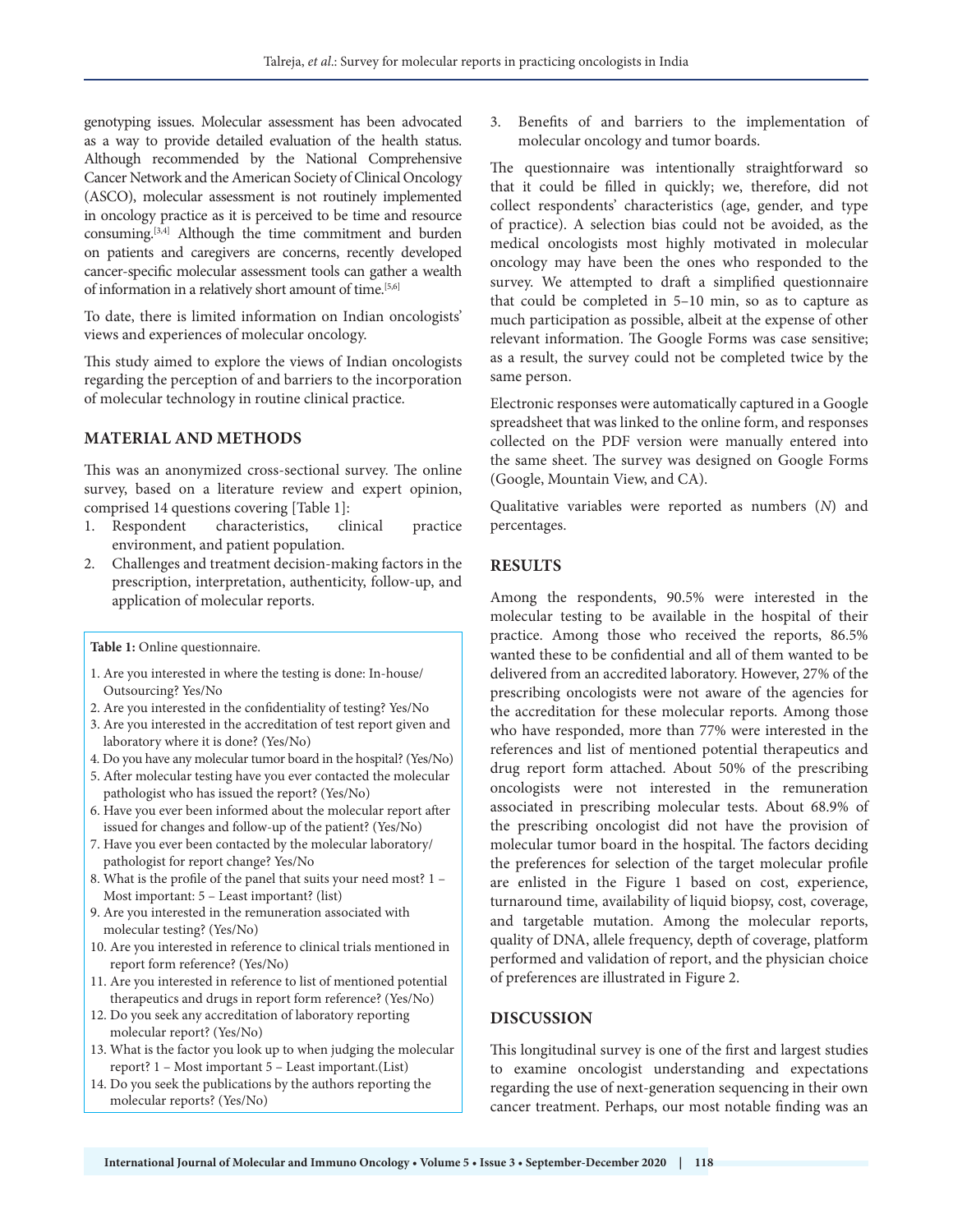genotyping issues. Molecular assessment has been advocated as a way to provide detailed evaluation of the health status. Although recommended by the National Comprehensive Cancer Network and the American Society of Clinical Oncology (ASCO), molecular assessment is not routinely implemented in oncology practice as it is perceived to be time and resource consuming.[3,4] Although the time commitment and burden on patients and caregivers are concerns, recently developed cancer-specific molecular assessment tools can gather a wealth of information in a relatively short amount of time.<sup>[5,6]</sup>

To date, there is limited information on Indian oncologists' views and experiences of molecular oncology.

This study aimed to explore the views of Indian oncologists regarding the perception of and barriers to the incorporation of molecular technology in routine clinical practice.

## **MATERIAL AND METHODS**

This was an anonymized cross-sectional survey. The online survey, based on a literature review and expert opinion, comprised 14 questions covering [Table 1]:

- 1. Respondent characteristics, clinical practice environment, and patient population.
- 2. Challenges and treatment decision-making factors in the prescription, interpretation, authenticity, follow-up, and application of molecular reports.

**Table 1:** Online questionnaire.

- 1. Are you interested in where the testing is done: In-house/ Outsourcing? Yes/No
- 2. Are you interested in the confidentiality of testing? Yes/No
- 3. Are you interested in the accreditation of test report given and laboratory where it is done? (Yes/No)
- 4. Do you have any molecular tumor board in the hospital? (Yes/No)
- 5. After molecular testing have you ever contacted the molecular pathologist who has issued the report? (Yes/No)
- 6. Have you ever been informed about the molecular report after issued for changes and follow-up of the patient? (Yes/No)
- 7. Have you ever been contacted by the molecular laboratory/ pathologist for report change? Yes/No
- 8. What is the profile of the panel that suits your need most? 1 Most important: 5 – Least important? (list)
- 9. Are you interested in the remuneration associated with molecular testing? (Yes/No)
- 10. Are you interested in reference to clinical trials mentioned in report form reference? (Yes/No)
- 11. Are you interested in reference to list of mentioned potential therapeutics and drugs in report form reference? (Yes/No)
- 12. Do you seek any accreditation of laboratory reporting molecular report? (Yes/No)
- 13. What is the factor you look up to when judging the molecular report? 1 – Most important 5 – Least important.(List)
- 14. Do you seek the publications by the authors reporting the molecular reports? (Yes/No)

3. Benefits of and barriers to the implementation of molecular oncology and tumor boards.

The questionnaire was intentionally straightforward so that it could be filled in quickly; we, therefore, did not collect respondents' characteristics (age, gender, and type of practice). A selection bias could not be avoided, as the medical oncologists most highly motivated in molecular oncology may have been the ones who responded to the survey. We attempted to draft a simplified questionnaire that could be completed in 5–10 min, so as to capture as much participation as possible, albeit at the expense of other relevant information. The Google Forms was case sensitive; as a result, the survey could not be completed twice by the same person.

Electronic responses were automatically captured in a Google spreadsheet that was linked to the online form, and responses collected on the PDF version were manually entered into the same sheet. The survey was designed on Google Forms (Google, Mountain View, and CA).

Qualitative variables were reported as numbers (*N*) and percentages.

## **RESULTS**

Among the respondents, 90.5% were interested in the molecular testing to be available in the hospital of their practice. Among those who received the reports, 86.5% wanted these to be confidential and all of them wanted to be delivered from an accredited laboratory. However, 27% of the prescribing oncologists were not aware of the agencies for the accreditation for these molecular reports. Among those who have responded, more than 77% were interested in the references and list of mentioned potential therapeutics and drug report form attached. About 50% of the prescribing oncologists were not interested in the remuneration associated in prescribing molecular tests. About 68.9% of the prescribing oncologist did not have the provision of molecular tumor board in the hospital. The factors deciding the preferences for selection of the target molecular profile are enlisted in the Figure 1 based on cost, experience, turnaround time, availability of liquid biopsy, cost, coverage, and targetable mutation. Among the molecular reports, quality of DNA, allele frequency, depth of coverage, platform performed and validation of report, and the physician choice of preferences are illustrated in Figure 2.

# **DISCUSSION**

This longitudinal survey is one of the first and largest studies to examine oncologist understanding and expectations regarding the use of next-generation sequencing in their own cancer treatment. Perhaps, our most notable finding was an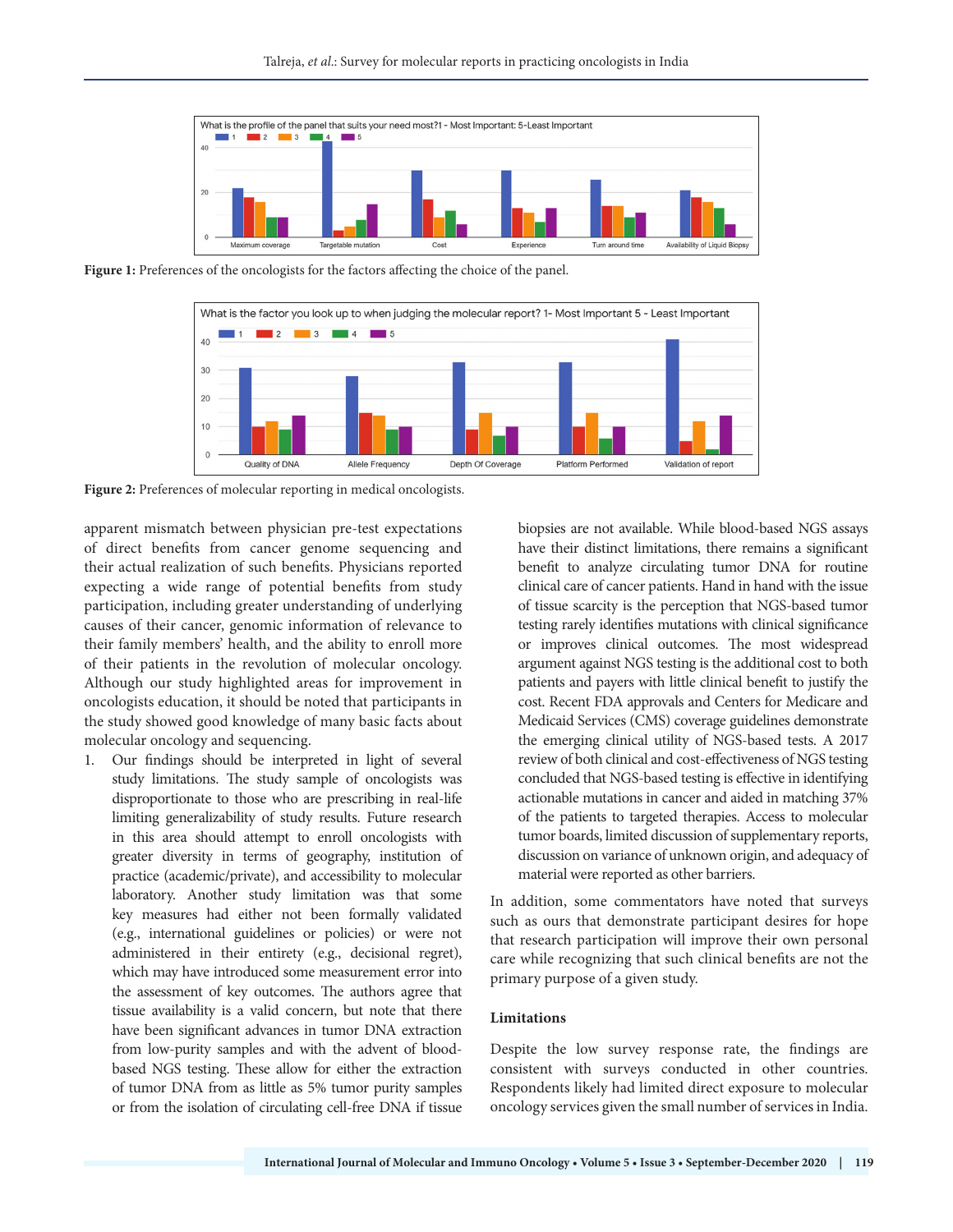

Figure 1: Preferences of the oncologists for the factors affecting the choice of the panel.



**Figure 2:** Preferences of molecular reporting in medical oncologists.

apparent mismatch between physician pre-test expectations of direct benefits from cancer genome sequencing and their actual realization of such benefits. Physicians reported expecting a wide range of potential benefits from study participation, including greater understanding of underlying causes of their cancer, genomic information of relevance to their family members' health, and the ability to enroll more of their patients in the revolution of molecular oncology. Although our study highlighted areas for improvement in oncologists education, it should be noted that participants in the study showed good knowledge of many basic facts about molecular oncology and sequencing.

1. Our findings should be interpreted in light of several study limitations. The study sample of oncologists was disproportionate to those who are prescribing in real-life limiting generalizability of study results. Future research in this area should attempt to enroll oncologists with greater diversity in terms of geography, institution of practice (academic/private), and accessibility to molecular laboratory. Another study limitation was that some key measures had either not been formally validated (e.g., international guidelines or policies) or were not administered in their entirety (e.g., decisional regret), which may have introduced some measurement error into the assessment of key outcomes. The authors agree that tissue availability is a valid concern, but note that there have been significant advances in tumor DNA extraction from low-purity samples and with the advent of bloodbased NGS testing. These allow for either the extraction of tumor DNA from as little as 5% tumor purity samples or from the isolation of circulating cell-free DNA if tissue

biopsies are not available. While blood-based NGS assays have their distinct limitations, there remains a significant benefit to analyze circulating tumor DNA for routine clinical care of cancer patients. Hand in hand with the issue of tissue scarcity is the perception that NGS-based tumor testing rarely identifies mutations with clinical significance or improves clinical outcomes. The most widespread argument against NGS testing is the additional cost to both patients and payers with little clinical benefit to justify the cost. Recent FDA approvals and Centers for Medicare and Medicaid Services (CMS) coverage guidelines demonstrate the emerging clinical utility of NGS-based tests. A 2017 review of both clinical and cost-effectiveness of NGS testing concluded that NGS-based testing is effective in identifying actionable mutations in cancer and aided in matching 37% of the patients to targeted therapies. Access to molecular tumor boards, limited discussion of supplementary reports, discussion on variance of unknown origin, and adequacy of material were reported as other barriers.

In addition, some commentators have noted that surveys such as ours that demonstrate participant desires for hope that research participation will improve their own personal care while recognizing that such clinical benefits are not the primary purpose of a given study.

#### **Limitations**

Despite the low survey response rate, the findings are consistent with surveys conducted in other countries. Respondents likely had limited direct exposure to molecular oncology services given the small number of services in India.